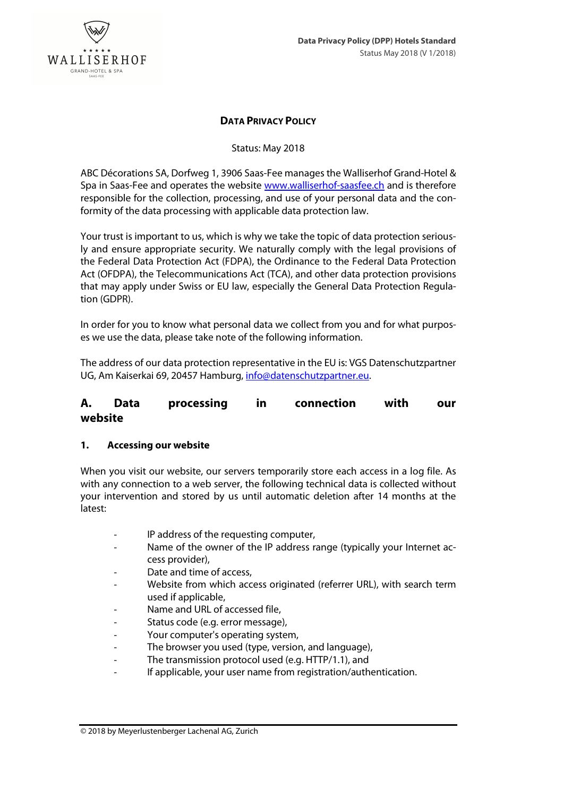

### **DATA PRIVACY POLICY**

Status: May 2018

ABC Décorations SA, Dorfweg 1, 3906 Saas-Fee manages the Walliserhof Grand-Hotel & Spa in Saas-Fee and operates the website www.walliserhof-saasfee.ch and is therefore responsible for the collection, processing, and use of your personal data and the conformity of the data processing with applicable data protection law.

Your trust is important to us, which is why we take the topic of data protection seriously and ensure appropriate security. We naturally comply with the legal provisions of the Federal Data Protection Act (FDPA), the Ordinance to the Federal Data Protection Act (OFDPA), the Telecommunications Act (TCA), and other data protection provisions that may apply under Swiss or EU law, especially the General Data Protection Regulation (GDPR).

In order for you to know what personal data we collect from you and for what purposes we use the data, please take note of the following information.

The address of our data protection representative in the EU is: VGS Datenschutzpartner UG, Am Kaiserkai 69, 20457 Hamburg, info@datenschutzpartner.eu.

# **A. Data processing in connection with our website**

### **1. Accessing our website**

When you visit our website, our servers temporarily store each access in a log file. As with any connection to a web server, the following technical data is collected without your intervention and stored by us until automatic deletion after 14 months at the latest:

- IP address of the requesting computer,
- Name of the owner of the IP address range (typically your Internet access provider),
- Date and time of access.
- Website from which access originated (referrer URL), with search term used if applicable,
- Name and URL of accessed file,
- Status code (e.g. error message),
- Your computer's operating system,
- The browser you used (type, version, and language),
- The transmission protocol used (e.g. HTTP/1.1), and
- If applicable, your user name from registration/authentication.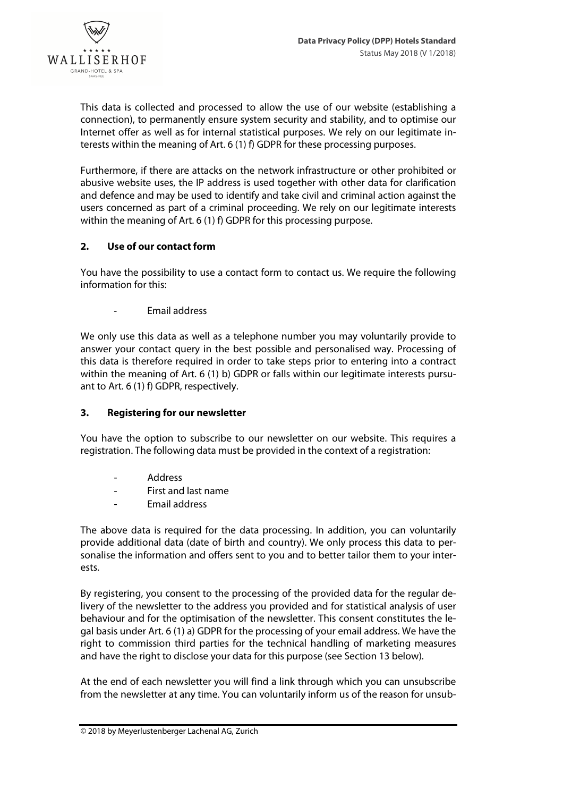

This data is collected and processed to allow the use of our website (establishing a connection), to permanently ensure system security and stability, and to optimise our Internet offer as well as for internal statistical purposes. We rely on our legitimate interests within the meaning of Art. 6 (1) f) GDPR for these processing purposes.

Furthermore, if there are attacks on the network infrastructure or other prohibited or abusive website uses, the IP address is used together with other data for clarification and defence and may be used to identify and take civil and criminal action against the users concerned as part of a criminal proceeding. We rely on our legitimate interests within the meaning of Art. 6 (1) f) GDPR for this processing purpose.

### **2. Use of our contact form**

You have the possibility to use a contact form to contact us. We require the following information for this:

- Email address

We only use this data as well as a telephone number you may voluntarily provide to answer your contact query in the best possible and personalised way. Processing of this data is therefore required in order to take steps prior to entering into a contract within the meaning of Art. 6 (1) b) GDPR or falls within our legitimate interests pursuant to Art. 6 (1) f) GDPR, respectively.

# **3. Registering for our newsletter**

You have the option to subscribe to our newsletter on our website. This requires a registration. The following data must be provided in the context of a registration:

- Address
- First and last name
- Email address

The above data is required for the data processing. In addition, you can voluntarily provide additional data (date of birth and country). We only process this data to personalise the information and offers sent to you and to better tailor them to your interests.

By registering, you consent to the processing of the provided data for the regular delivery of the newsletter to the address you provided and for statistical analysis of user behaviour and for the optimisation of the newsletter. This consent constitutes the legal basis under Art. 6 (1) a) GDPR for the processing of your email address. We have the right to commission third parties for the technical handling of marketing measures and have the right to disclose your data for this purpose (see Section 13 below).

At the end of each newsletter you will find a link through which you can unsubscribe from the newsletter at any time. You can voluntarily inform us of the reason for unsub-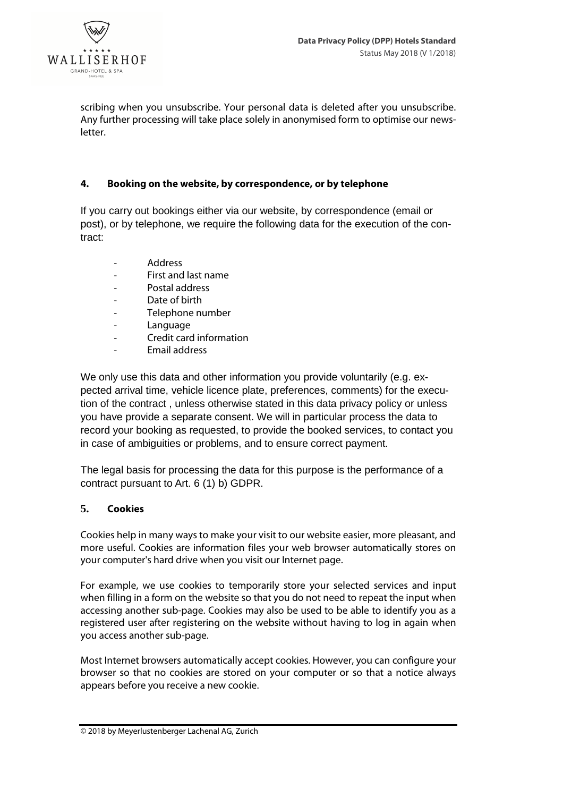

scribing when you unsubscribe. Your personal data is deleted after you unsubscribe. Any further processing will take place solely in anonymised form to optimise our newsletter.

#### **4. Booking on the website, by correspondence, or by telephone**

If you carry out bookings either via our website, by correspondence (email or post), or by telephone, we require the following data for the execution of the contract:

- Address
- First and last name
- Postal address
- Date of birth
- Telephone number
- Language
- Credit card information
- Email address

We only use this data and other information you provide voluntarily (e.g. expected arrival time, vehicle licence plate, preferences, comments) for the execution of the contract , unless otherwise stated in this data privacy policy or unless you have provide a separate consent. We will in particular process the data to record your booking as requested, to provide the booked services, to contact you in case of ambiguities or problems, and to ensure correct payment.

The legal basis for processing the data for this purpose is the performance of a contract pursuant to Art. 6 (1) b) GDPR.

#### **5. Cookies**

Cookies help in many ways to make your visit to our website easier, more pleasant, and more useful. Cookies are information files your web browser automatically stores on your computer's hard drive when you visit our Internet page.

For example, we use cookies to temporarily store your selected services and input when filling in a form on the website so that you do not need to repeat the input when accessing another sub-page. Cookies may also be used to be able to identify you as a registered user after registering on the website without having to log in again when you access another sub-page.

Most Internet browsers automatically accept cookies. However, you can configure your browser so that no cookies are stored on your computer or so that a notice always appears before you receive a new cookie.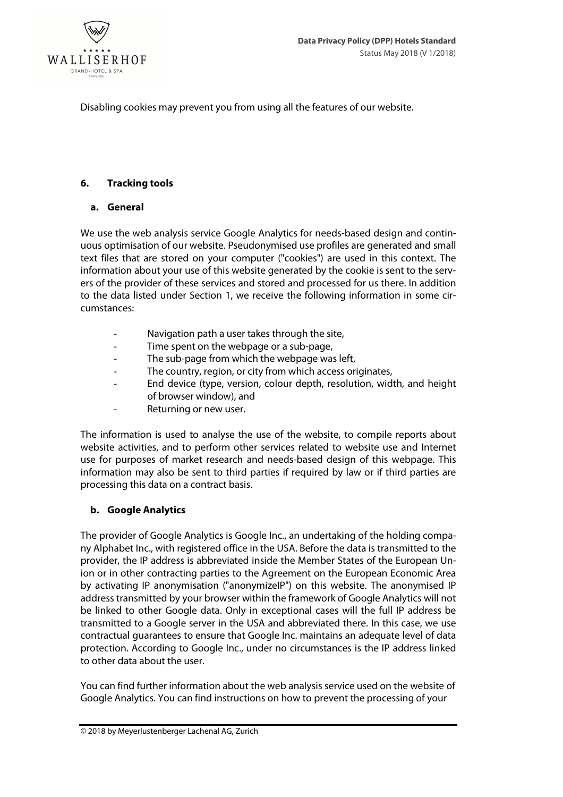

Disabling cookies may prevent you from using all the features of our website.

### **6. Tracking tools**

### **a. General**

We use the web analysis service Google Analytics for needs-based design and continuous optimisation of our website. Pseudonymised use profiles are generated and small text files that are stored on your computer ("cookies") are used in this context. The information about your use of this website generated by the cookie is sent to the servers of the provider of these services and stored and processed for us there. In addition to the data listed under Section 1, we receive the following information in some circumstances:

- Navigation path a user takes through the site,
- Time spent on the webpage or a sub-page,
- The sub-page from which the webpage was left,
- The country, region, or city from which access originates,
- End device (type, version, colour depth, resolution, width, and height of browser window), and
- Returning or new user.

The information is used to analyse the use of the website, to compile reports about website activities, and to perform other services related to website use and Internet use for purposes of market research and needs-based design of this webpage. This information may also be sent to third parties if required by law or if third parties are processing this data on a contract basis.

# **b. Google Analytics**

The provider of Google Analytics is Google Inc., an undertaking of the holding company Alphabet Inc., with registered office in the USA. Before the data is transmitted to the provider, the IP address is abbreviated inside the Member States of the European Union or in other contracting parties to the Agreement on the European Economic Area by activating IP anonymisation ("anonymizeIP") on this website. The anonymised IP address transmitted by your browser within the framework of Google Analytics will not be linked to other Google data. Only in exceptional cases will the full IP address be transmitted to a Google server in the USA and abbreviated there. In this case, we use contractual guarantees to ensure that Google Inc. maintains an adequate level of data protection. According to Google Inc., under no circumstances is the IP address linked to other data about the user.

You can find further information about the web analysis service used on the website of Google Analytics. You can find instructions on how to prevent the processing of your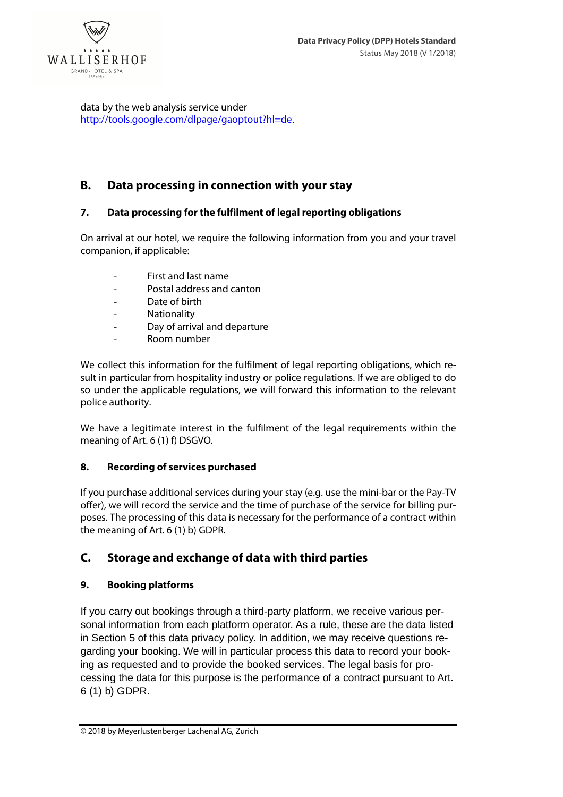

data by the web analysis service under http://tools.google.com/dlpage/gaoptout?hl=de.

# **B. Data processing in connection with your stay**

# **7. Data processing for the fulfilment of legal reporting obligations**

On arrival at our hotel, we require the following information from you and your travel companion, if applicable:

- First and last name
- Postal address and canton
- Date of birth
- **Nationality**
- Day of arrival and departure
- Room number

We collect this information for the fulfilment of legal reporting obligations, which result in particular from hospitality industry or police regulations. If we are obliged to do so under the applicable regulations, we will forward this information to the relevant police authority.

We have a legitimate interest in the fulfilment of the legal requirements within the meaning of Art. 6 (1) f) DSGVO.

# **8. Recording of services purchased**

If you purchase additional services during your stay (e.g. use the mini-bar or the Pay-TV offer), we will record the service and the time of purchase of the service for billing purposes. The processing of this data is necessary for the performance of a contract within the meaning of Art. 6 (1) b) GDPR.

# **C. Storage and exchange of data with third parties**

# **9. Booking platforms**

If you carry out bookings through a third-party platform, we receive various personal information from each platform operator. As a rule, these are the data listed in Section 5 of this data privacy policy. In addition, we may receive questions regarding your booking. We will in particular process this data to record your booking as requested and to provide the booked services. The legal basis for processing the data for this purpose is the performance of a contract pursuant to Art. 6 (1) b) GDPR.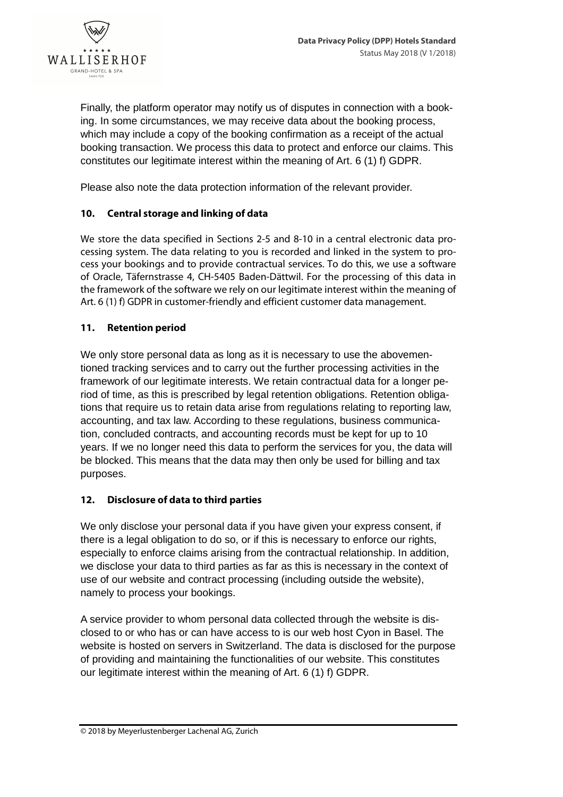

Finally, the platform operator may notify us of disputes in connection with a booking. In some circumstances, we may receive data about the booking process, which may include a copy of the booking confirmation as a receipt of the actual booking transaction. We process this data to protect and enforce our claims. This constitutes our legitimate interest within the meaning of Art. 6 (1) f) GDPR.

Please also note the data protection information of the relevant provider.

### **10. Central storage and linking of data**

We store the data specified in Sections 2-5 and 8-10 in a central electronic data processing system. The data relating to you is recorded and linked in the system to process your bookings and to provide contractual services. To do this, we use a software of Oracle, Täfernstrasse 4, CH-5405 Baden-Dättwil. For the processing of this data in the framework of the software we rely on our legitimate interest within the meaning of Art. 6 (1) f) GDPR in customer-friendly and efficient customer data management.

### **11. Retention period**

We only store personal data as long as it is necessary to use the abovementioned tracking services and to carry out the further processing activities in the framework of our legitimate interests. We retain contractual data for a longer period of time, as this is prescribed by legal retention obligations. Retention obligations that require us to retain data arise from regulations relating to reporting law, accounting, and tax law. According to these regulations, business communication, concluded contracts, and accounting records must be kept for up to 10 years. If we no longer need this data to perform the services for you, the data will be blocked. This means that the data may then only be used for billing and tax purposes.

### **12. Disclosure of data to third parties**

We only disclose your personal data if you have given your express consent, if there is a legal obligation to do so, or if this is necessary to enforce our rights, especially to enforce claims arising from the contractual relationship. In addition, we disclose your data to third parties as far as this is necessary in the context of use of our website and contract processing (including outside the website), namely to process your bookings.

A service provider to whom personal data collected through the website is disclosed to or who has or can have access to is our web host Cyon in Basel. The website is hosted on servers in Switzerland. The data is disclosed for the purpose of providing and maintaining the functionalities of our website. This constitutes our legitimate interest within the meaning of Art. 6 (1) f) GDPR.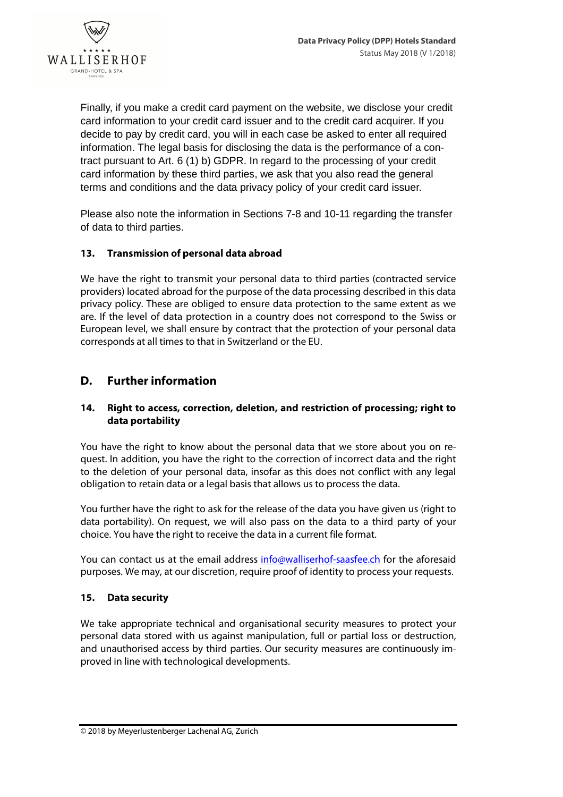

Finally, if you make a credit card payment on the website, we disclose your credit card information to your credit card issuer and to the credit card acquirer. If you decide to pay by credit card, you will in each case be asked to enter all required information. The legal basis for disclosing the data is the performance of a contract pursuant to Art. 6 (1) b) GDPR. In regard to the processing of your credit card information by these third parties, we ask that you also read the general terms and conditions and the data privacy policy of your credit card issuer.

Please also note the information in Sections 7-8 and 10-11 regarding the transfer of data to third parties.

### **13. Transmission of personal data abroad**

We have the right to transmit your personal data to third parties (contracted service providers) located abroad for the purpose of the data processing described in this data privacy policy. These are obliged to ensure data protection to the same extent as we are. If the level of data protection in a country does not correspond to the Swiss or European level, we shall ensure by contract that the protection of your personal data corresponds at all times to that in Switzerland or the EU.

# **D. Further information**

### **14. Right to access, correction, deletion, and restriction of processing; right to data portability**

You have the right to know about the personal data that we store about you on request. In addition, you have the right to the correction of incorrect data and the right to the deletion of your personal data, insofar as this does not conflict with any legal obligation to retain data or a legal basis that allows us to process the data.

You further have the right to ask for the release of the data you have given us (right to data portability). On request, we will also pass on the data to a third party of your choice. You have the right to receive the data in a current file format.

You can contact us at the email address info@walliserhof-saasfee.ch for the aforesaid purposes. We may, at our discretion, require proof of identity to process your requests.

### **15. Data security**

We take appropriate technical and organisational security measures to protect your personal data stored with us against manipulation, full or partial loss or destruction, and unauthorised access by third parties. Our security measures are continuously improved in line with technological developments.